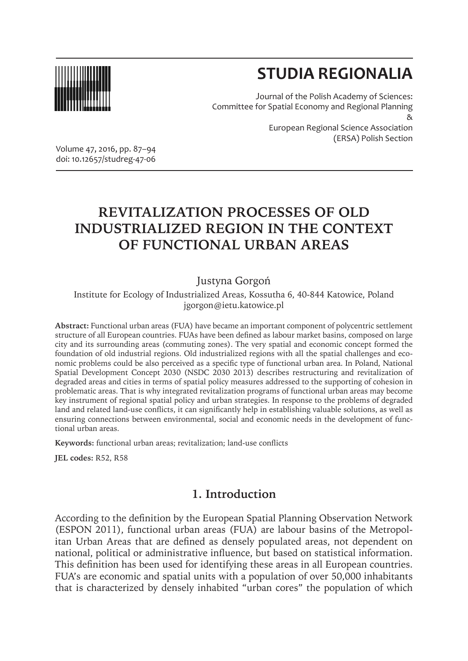

# **STUDIA REGIONALIA**

Journal of the Polish Academy of Sciences: Committee for Spatial Economy and Regional Planning & European Regional Science Association (ERSA) Polish Section

Volume 47, 2016, pp. 87–94 doi: 10.12657/studreg-47-06

## **REVITALIZATION PROCESSES OF OLD INDUSTRIALIZED REGION IN THE CONTEXT OF FUNCTIONAL URBAN AREAS**

#### Justyna Gorgoń

Institute for Ecology of Industrialized Areas, Kossutha 6, 40-844 Katowice, Poland jgorgon@ietu.katowice.pl

**Abstract:** Functional urban areas (FUA) have became an important component of polycentric settlement structure of all European countries. FUAs have been defined as labour market basins, composed on large city and its surrounding areas (commuting zones). The very spatial and economic concept formed the foundation of old industrial regions. Old industrialized regions with all the spatial challenges and economic problems could be also perceived as a specific type of functional urban area. In Poland, National Spatial Development Concept 2030 (NSDC 2030 2013) describes restructuring and revitalization of degraded areas and cities in terms of spatial policy measures addressed to the supporting of cohesion in problematic areas. That is why integrated revitalization programs of functional urban areas may become key instrument of regional spatial policy and urban strategies. In response to the problems of degraded land and related land-use conflicts, it can significantly help in establishing valuable solutions, as well as ensuring connections between environmental, social and economic needs in the development of functional urban areas.

**Keywords:** functional urban areas; revitalization; land-use conflicts

**JEL codes:** R52, R58

## **1. Introduction**

According to the definition by the European Spatial Planning Observation Network (ESPON 2011), functional urban areas (FUA) are labour basins of the Metropolitan Urban Areas that are defined as densely populated areas, not dependent on national, political or administrative influence, but based on statistical information. This definition has been used for identifying these areas in all European countries. FUA's are economic and spatial units with a population of over 50,000 inhabitants that is characterized by densely inhabited "urban cores" the population of which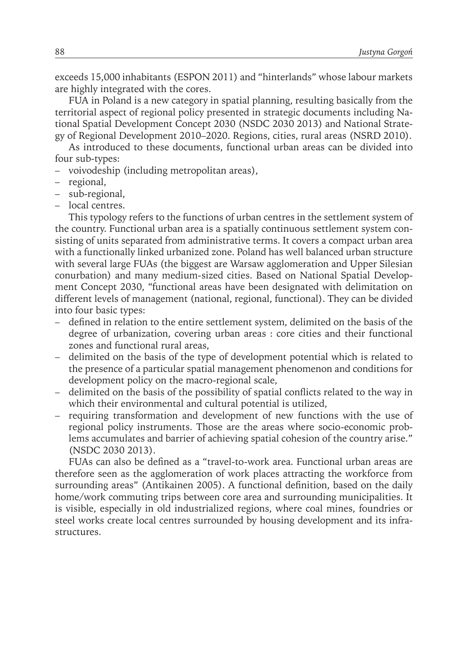exceeds 15,000 inhabitants (ESPON 2011) and "hinterlands" whose labour markets are highly integrated with the cores.

FUA in Poland is a new category in spatial planning, resulting basically from the territorial aspect of regional policy presented in strategic documents including National Spatial Development Concept 2030 (NSDC 2030 2013) and National Strategy of Regional Development 2010–2020. Regions, cities, rural areas (NSRD 2010).

As introduced to these documents, functional urban areas can be divided into four sub-types:

- voivodeship (including metropolitan areas),
- regional,
- sub-regional,
- local centres.

This typology refers to the functions of urban centres in the settlement system of the country. Functional urban area is a spatially continuous settlement system consisting of units separated from administrative terms. It covers a compact urban area with a functionally linked urbanized zone. Poland has well balanced urban structure with several large FUAs (the biggest are Warsaw agglomeration and Upper Silesian conurbation) and many medium-sized cities. Based on National Spatial Development Concept 2030, "functional areas have been designated with delimitation on different levels of management (national, regional, functional). They can be divided into four basic types:

- defined in relation to the entire settlement system, delimited on the basis of the degree of urbanization, covering urban areas : core cities and their functional zones and functional rural areas,
- delimited on the basis of the type of development potential which is related to the presence of a particular spatial management phenomenon and conditions for development policy on the macro-regional scale,
- delimited on the basis of the possibility of spatial conflicts related to the way in which their environmental and cultural potential is utilized,
- requiring transformation and development of new functions with the use of regional policy instruments. Those are the areas where socio-economic problems accumulates and barrier of achieving spatial cohesion of the country arise." (NSDC 2030 2013).

FUAs can also be defined as a "travel-to-work area. Functional urban areas are therefore seen as the agglomeration of work places attracting the workforce from surrounding areas" (Antikainen 2005). A functional definition, based on the daily home/work commuting trips between core area and surrounding municipalities. It is visible, especially in old industrialized regions, where coal mines, foundries or steel works create local centres surrounded by housing development and its infrastructures.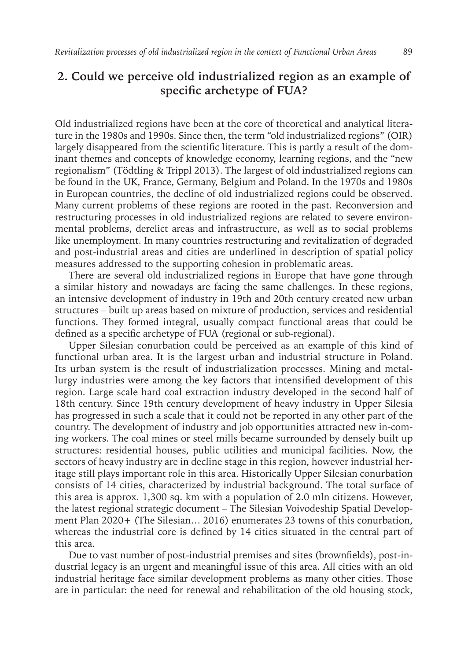## **2. Could we perceive old industrialized region as an example of specific archetype of FUA?**

Old industrialized regions have been at the core of theoretical and analytical literature in the 1980s and 1990s. Since then, the term "old industrialized regions" (OIR) largely disappeared from the scientific literature. This is partly a result of the dominant themes and concepts of knowledge economy, learning regions, and the "new regionalism" (Tödtling & Trippl 2013). The largest of old industrialized regions can be found in the UK, France, Germany, Belgium and Poland. In the 1970s and 1980s in European countries, the decline of old industrialized regions could be observed. Many current problems of these regions are rooted in the past. Reconversion and restructuring processes in old industrialized regions are related to severe environmental problems, derelict areas and infrastructure, as well as to social problems like unemployment. In many countries restructuring and revitalization of degraded and post-industrial areas and cities are underlined in description of spatial policy measures addressed to the supporting cohesion in problematic areas.

There are several old industrialized regions in Europe that have gone through a similar history and nowadays are facing the same challenges. In these regions, an intensive development of industry in 19th and 20th century created new urban structures – built up areas based on mixture of production, services and residential functions. They formed integral, usually compact functional areas that could be defined as a specific archetype of FUA (regional or sub-regional).

Upper Silesian conurbation could be perceived as an example of this kind of functional urban area. It is the largest urban and industrial structure in Poland. Its urban system is the result of industrialization processes. Mining and metallurgy industries were among the key factors that intensified development of this region. Large scale hard coal extraction industry developed in the second half of 18th century. Since 19th century development of heavy industry in Upper Silesia has progressed in such a scale that it could not be reported in any other part of the country. The development of industry and job opportunities attracted new in-coming workers. The coal mines or steel mills became surrounded by densely built up structures: residential houses, public utilities and municipal facilities. Now, the sectors of heavy industry are in decline stage in this region, however industrial heritage still plays important role in this area. Historically Upper Silesian conurbation consists of 14 cities, characterized by industrial background. The total surface of this area is approx. 1,300 sq. km with a population of 2.0 mln citizens. However, the latest regional strategic document – The Silesian Voivodeship Spatial Development Plan 2020+ (The Silesian… 2016) enumerates 23 towns of this conurbation, whereas the industrial core is defined by 14 cities situated in the central part of this area.

Due to vast number of post-industrial premises and sites (brownfields), post-industrial legacy is an urgent and meaningful issue of this area. All cities with an old industrial heritage face similar development problems as many other cities. Those are in particular: the need for renewal and rehabilitation of the old housing stock,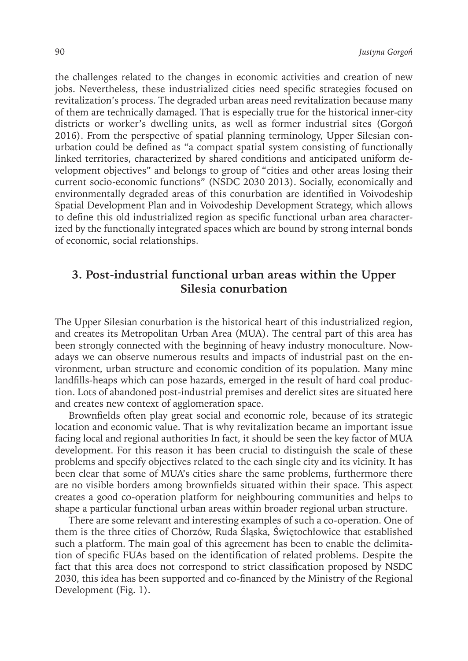the challenges related to the changes in economic activities and creation of new jobs. Nevertheless, these industrialized cities need specific strategies focused on revitalization's process. The degraded urban areas need revitalization because many of them are technically damaged. That is especially true for the historical inner-city districts or worker's dwelling units, as well as former industrial sites (Gorgoń 2016). From the perspective of spatial planning terminology, Upper Silesian conurbation could be defined as "a compact spatial system consisting of functionally linked territories, characterized by shared conditions and anticipated uniform development objectives" and belongs to group of "cities and other areas losing their current socio-economic functions" (NSDC 2030 2013). Socially, economically and environmentally degraded areas of this conurbation are identified in Voivodeship Spatial Development Plan and in Voivodeship Development Strategy, which allows to define this old industrialized region as specific functional urban area characterized by the functionally integrated spaces which are bound by strong internal bonds of economic, social relationships.

### **3. Post-industrial functional urban areas within the Upper Silesia conurbation**

The Upper Silesian conurbation is the historical heart of this industrialized region, and creates its Metropolitan Urban Area (MUA). The central part of this area has been strongly connected with the beginning of heavy industry monoculture. Nowadays we can observe numerous results and impacts of industrial past on the environment, urban structure and economic condition of its population. Many mine landfills-heaps which can pose hazards, emerged in the result of hard coal production. Lots of abandoned post-industrial premises and derelict sites are situated here and creates new context of agglomeration space.

Brownfields often play great social and economic role, because of its strategic location and economic value. That is why revitalization became an important issue facing local and regional authorities In fact, it should be seen the key factor of MUA development. For this reason it has been crucial to distinguish the scale of these problems and specify objectives related to the each single city and its vicinity. It has been clear that some of MUA's cities share the same problems, furthermore there are no visible borders among brownfields situated within their space. This aspect creates a good co-operation platform for neighbouring communities and helps to shape a particular functional urban areas within broader regional urban structure.

There are some relevant and interesting examples of such a co-operation. One of them is the three cities of Chorzów, Ruda Śląska, Świętochłowice that established such a platform. The main goal of this agreement has been to enable the delimitation of specific FUAs based on the identification of related problems. Despite the fact that this area does not correspond to strict classification proposed by NSDC 2030, this idea has been supported and co-financed by the Ministry of the Regional Development (Fig. 1).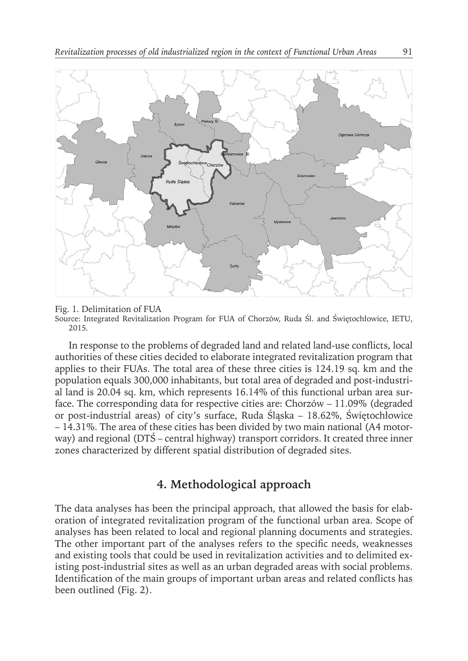

Fig. 1. Delimitation of FUA

Source: Integrated Revitalization Program for FUA of Chorzów, Ruda Śl. and Świętochłowice, IETU, 2015.

In response to the problems of degraded land and related land-use conflicts, local authorities of these cities decided to elaborate integrated revitalization program that applies to their FUAs. The total area of these three cities is 124.19 sq. km and the population equals 300,000 inhabitants, but total area of degraded and post-industrial land is 20.04 sq. km, which represents 16.14% of this functional urban area surface. The corresponding data for respective cities are: Chorzów – 11.09% (degraded or post-industrial areas) of city's surface, Ruda Śląska – 18.62%, Świętochłowice – 14.31%. The area of these cities has been divided by two main national (A4 motorway) and regional (DTŚ – central highway) transport corridors. It created three inner zones characterized by different spatial distribution of degraded sites.

#### **4. Methodological approach**

The data analyses has been the principal approach, that allowed the basis for elaboration of integrated revitalization program of the functional urban area. Scope of analyses has been related to local and regional planning documents and strategies. The other important part of the analyses refers to the specific needs, weaknesses and existing tools that could be used in revitalization activities and to delimited existing post-industrial sites as well as an urban degraded areas with social problems. Identification of the main groups of important urban areas and related conflicts has been outlined (Fig. 2).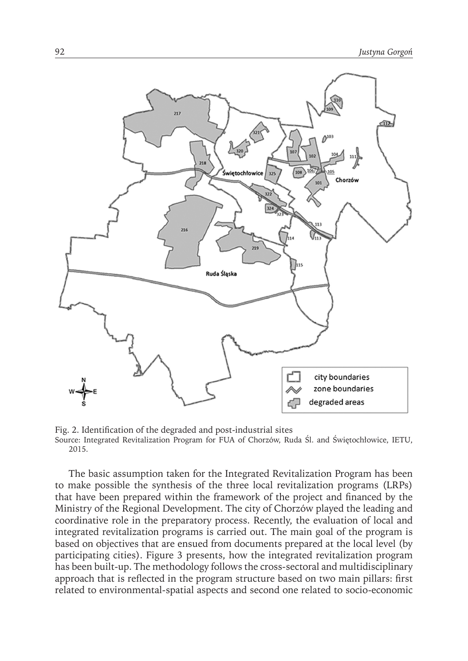

Fig. 2. Identification of the degraded and post-industrial sites Source: Integrated Revitalization Program for FUA of Chorzów, Ruda Śl. and Świętochłowice, IETU, 2015.

The basic assumption taken for the Integrated Revitalization Program has been to make possible the synthesis of the three local revitalization programs (LRPs) that have been prepared within the framework of the project and financed by the Ministry of the Regional Development. The city of Chorzów played the leading and coordinative role in the preparatory process. Recently, the evaluation of local and integrated revitalization programs is carried out. The main goal of the program is based on objectives that are ensued from documents prepared at the local level (by participating cities). Figure 3 presents, how the integrated revitalization program has been built-up. The methodology follows the cross-sectoral and multidisciplinary approach that is reflected in the program structure based on two main pillars: first related to environmental-spatial aspects and second one related to socio-economic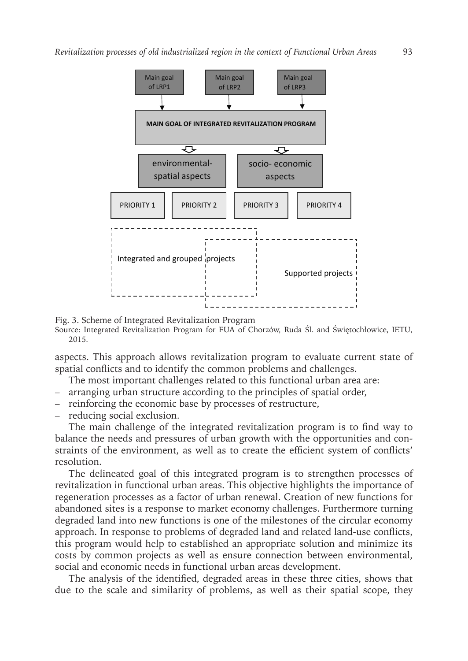

Fig. 3. Scheme of Integrated Revitalization Program

Source: Integrated Revitalization Program for FUA of Chorzów, Ruda Śl. and Świętochłowice, IETU, 2015.

aspects. This approach allows revitalization program to evaluate current state of spatial conflicts and to identify the common problems and challenges.

The most important challenges related to this functional urban area are:

- arranging urban structure according to the principles of spatial order,
- reinforcing the economic base by processes of restructure,
- reducing social exclusion.

The main challenge of the integrated revitalization program is to find way to balance the needs and pressures of urban growth with the opportunities and constraints of the environment, as well as to create the efficient system of conflicts' resolution.

The delineated goal of this integrated program is to strengthen processes of revitalization in functional urban areas. This objective highlights the importance of regeneration processes as a factor of urban renewal. Creation of new functions for abandoned sites is a response to market economy challenges. Furthermore turning degraded land into new functions is one of the milestones of the circular economy approach. In response to problems of degraded land and related land-use conflicts, this program would help to established an appropriate solution and minimize its costs by common projects as well as ensure connection between environmental, social and economic needs in functional urban areas development.

The analysis of the identified, degraded areas in these three cities, shows that due to the scale and similarity of problems, as well as their spatial scope, they